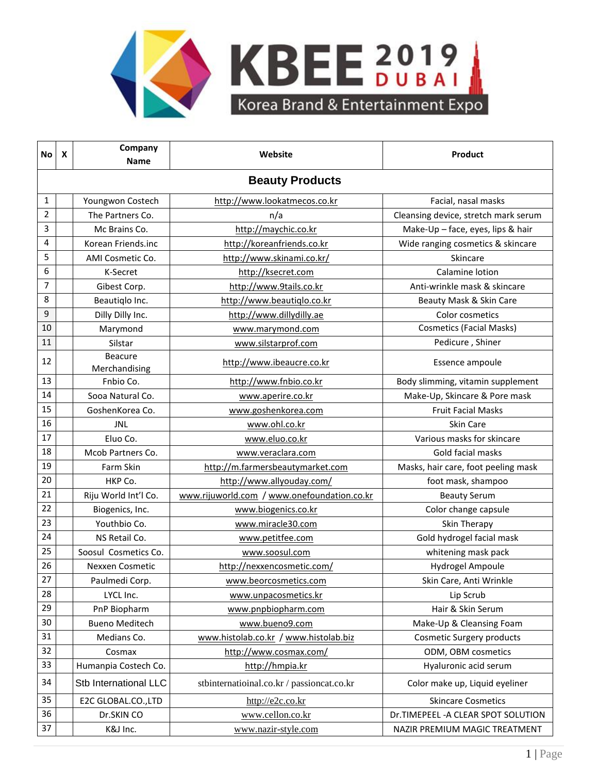

| No | X                      | Company<br>Name                 | Website                                     | <b>Product</b>                       |  |  |  |  |
|----|------------------------|---------------------------------|---------------------------------------------|--------------------------------------|--|--|--|--|
|    | <b>Beauty Products</b> |                                 |                                             |                                      |  |  |  |  |
| 1  |                        | Youngwon Costech                | http://www.lookatmecos.co.kr                | Facial, nasal masks                  |  |  |  |  |
| 2  |                        | The Partners Co.                | n/a                                         | Cleansing device, stretch mark serum |  |  |  |  |
| 3  |                        | Mc Brains Co.                   | http://maychic.co.kr                        | Make-Up - face, eyes, lips & hair    |  |  |  |  |
| 4  |                        | Korean Friends.inc              | http://koreanfriends.co.kr                  | Wide ranging cosmetics & skincare    |  |  |  |  |
| 5  |                        | AMI Cosmetic Co.                | http://www.skinami.co.kr/                   | Skincare                             |  |  |  |  |
| 6  |                        | K-Secret                        | http://ksecret.com                          | Calamine lotion                      |  |  |  |  |
| 7  |                        | Gibest Corp.                    | http://www.9tails.co.kr                     | Anti-wrinkle mask & skincare         |  |  |  |  |
| 8  |                        | Beautiqlo Inc.                  | http://www.beautiglo.co.kr                  | Beauty Mask & Skin Care              |  |  |  |  |
| 9  |                        | Dilly Dilly Inc.                | http://www.dillydilly.ae                    | Color cosmetics                      |  |  |  |  |
| 10 |                        | Marymond                        | www.marymond.com                            | <b>Cosmetics (Facial Masks)</b>      |  |  |  |  |
| 11 |                        | Silstar                         | www.silstarprof.com                         | Pedicure, Shiner                     |  |  |  |  |
| 12 |                        | <b>Beacure</b><br>Merchandising | http://www.ibeaucre.co.kr                   | Essence ampoule                      |  |  |  |  |
| 13 |                        | Fnbio Co.                       | http://www.fnbio.co.kr                      | Body slimming, vitamin supplement    |  |  |  |  |
| 14 |                        | Sooa Natural Co.                | www.aperire.co.kr                           | Make-Up, Skincare & Pore mask        |  |  |  |  |
| 15 |                        | GoshenKorea Co.                 | www.goshenkorea.com                         | <b>Fruit Facial Masks</b>            |  |  |  |  |
| 16 |                        | <b>JNL</b>                      | www.ohl.co.kr                               | Skin Care                            |  |  |  |  |
| 17 |                        | Eluo Co.                        | www.eluo.co.kr                              | Various masks for skincare           |  |  |  |  |
| 18 |                        | Mcob Partners Co.               | www.veraclara.com                           | Gold facial masks                    |  |  |  |  |
| 19 |                        | Farm Skin                       | http://m.farmersbeautymarket.com            | Masks, hair care, foot peeling mask  |  |  |  |  |
| 20 |                        | HKP Co.                         | http://www.allyouday.com/                   | foot mask, shampoo                   |  |  |  |  |
| 21 |                        | Riju World Int'l Co.            | www.rijuworld.com / www.onefoundation.co.kr | <b>Beauty Serum</b>                  |  |  |  |  |
| 22 |                        | Biogenics, Inc.                 | www.biogenics.co.kr                         | Color change capsule                 |  |  |  |  |
| 23 |                        | Youthbio Co.                    | www.miracle30.com                           | Skin Therapy                         |  |  |  |  |
| 24 |                        | NS Retail Co.                   | www.petitfee.com                            | Gold hydrogel facial mask            |  |  |  |  |
| 25 |                        | Soosul Cosmetics Co.            | www.soosul.com                              | whitening mask pack                  |  |  |  |  |
| 26 |                        | Nexxen Cosmetic                 | http://nexxencosmetic.com/                  | Hydrogel Ampoule                     |  |  |  |  |
| 27 |                        | Paulmedi Corp.                  | www.beorcosmetics.com                       | Skin Care, Anti Wrinkle              |  |  |  |  |
| 28 |                        | LYCL Inc.                       | www.unpacosmetics.kr                        | Lip Scrub                            |  |  |  |  |
| 29 |                        | PnP Biopharm                    | www.pnpbiopharm.com                         | Hair & Skin Serum                    |  |  |  |  |
| 30 |                        | <b>Bueno Meditech</b>           | www.bueno9.com                              | Make-Up & Cleansing Foam             |  |  |  |  |
| 31 |                        | Medians Co.                     | www.histolab.co.kr / www.histolab.biz       | Cosmetic Surgery products            |  |  |  |  |
| 32 |                        | Cosmax                          | http://www.cosmax.com/                      | ODM, OBM cosmetics                   |  |  |  |  |
| 33 |                        | Humanpia Costech Co.            | http://hmpia.kr                             | Hyaluronic acid serum                |  |  |  |  |
| 34 |                        | Stb International LLC           | stbinternatioinal.co.kr / passioncat.co.kr  | Color make up, Liquid eyeliner       |  |  |  |  |
| 35 |                        | E2C GLOBAL.CO.,LTD              | http://e2c.co.kr                            | <b>Skincare Cosmetics</b>            |  |  |  |  |
| 36 |                        | Dr.SKIN CO                      | www.cellon.co.kr                            | Dr.TIMEPEEL - A CLEAR SPOT SOLUTION  |  |  |  |  |
| 37 |                        | K&J Inc.                        | www.nazir-style.com                         | NAZIR PREMIUM MAGIC TREATMENT        |  |  |  |  |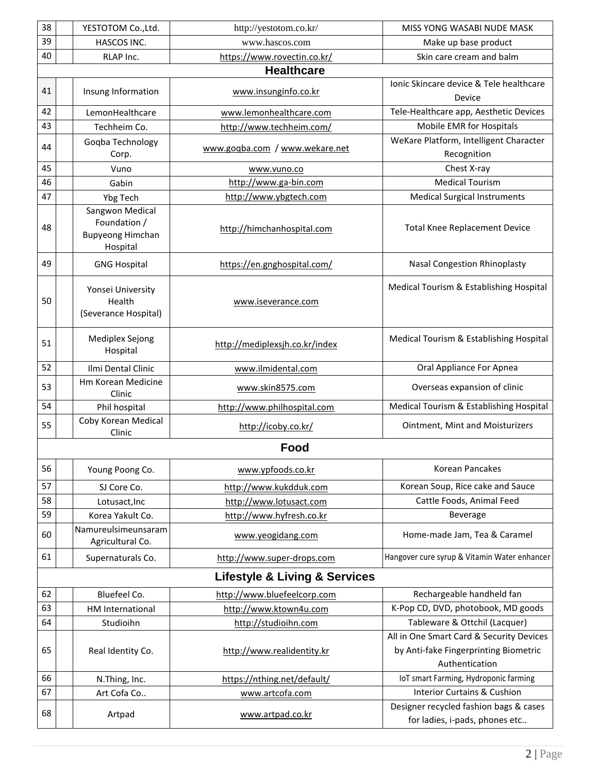| 38 | YESTOTOM Co., Ltd.                                                     | http://yestotom.co.kr/                       | MISS YONG WASABI NUDE MASK                                                                          |
|----|------------------------------------------------------------------------|----------------------------------------------|-----------------------------------------------------------------------------------------------------|
| 39 | HASCOS INC.                                                            | www.hascos.com                               | Make up base product                                                                                |
| 40 | RLAP Inc.                                                              | https://www.rovectin.co.kr/                  | Skin care cream and balm                                                                            |
|    |                                                                        | <b>Healthcare</b>                            |                                                                                                     |
| 41 | Insung Information                                                     | www.insunginfo.co.kr                         | Ionic Skincare device & Tele healthcare<br>Device                                                   |
| 42 | LemonHealthcare                                                        | www.lemonhealthcare.com                      | Tele-Healthcare app, Aesthetic Devices                                                              |
| 43 | Techheim Co.                                                           | http://www.techheim.com/                     | Mobile EMR for Hospitals                                                                            |
| 44 | Gogba Technology<br>Corp.                                              | www.goqba.com / www.wekare.net               | WeKare Platform, Intelligent Character<br>Recognition                                               |
| 45 | Vuno                                                                   | www.vuno.co                                  | Chest X-ray                                                                                         |
| 46 | Gabin                                                                  | http://www.ga-bin.com                        | <b>Medical Tourism</b>                                                                              |
| 47 | Ybg Tech                                                               | http://www.ybgtech.com                       | <b>Medical Surgical Instruments</b>                                                                 |
| 48 | Sangwon Medical<br>Foundation /<br><b>Bupyeong Himchan</b><br>Hospital | http://himchanhospital.com                   | <b>Total Knee Replacement Device</b>                                                                |
| 49 | <b>GNG Hospital</b>                                                    | https://en.gnghospital.com/                  | <b>Nasal Congestion Rhinoplasty</b>                                                                 |
| 50 | Yonsei University<br>Health<br>(Severance Hospital)                    | www.iseverance.com                           | Medical Tourism & Establishing Hospital                                                             |
| 51 | Mediplex Sejong<br>Hospital                                            | http://mediplexsjh.co.kr/index               | Medical Tourism & Establishing Hospital                                                             |
| 52 | Ilmi Dental Clinic                                                     | www.ilmidental.com                           | Oral Appliance For Apnea                                                                            |
| 53 | Hm Korean Medicine<br>Clinic                                           | www.skin8575.com                             | Overseas expansion of clinic                                                                        |
| 54 | Phil hospital                                                          | http://www.philhospital.com                  | Medical Tourism & Establishing Hospital                                                             |
| 55 | Coby Korean Medical<br>Clinic                                          | http://icoby.co.kr/                          | <b>Ointment, Mint and Moisturizers</b>                                                              |
|    |                                                                        | Food                                         |                                                                                                     |
| 56 | Young Poong Co.                                                        | www.ypfoods.co.kr                            | Korean Pancakes                                                                                     |
| 57 | SJ Core Co.                                                            | http://www.kukdduk.com                       | Korean Soup, Rice cake and Sauce                                                                    |
| 58 | Lotusact, Inc                                                          | http://www.lotusact.com                      | Cattle Foods, Animal Feed                                                                           |
| 59 | Korea Yakult Co.                                                       | http://www.hyfresh.co.kr                     | <b>Beverage</b>                                                                                     |
| 60 | Namureulsimeunsaram<br>Agricultural Co.                                | www.yeogidang.com                            | Home-made Jam, Tea & Caramel                                                                        |
| 61 | Supernaturals Co.                                                      | http://www.super-drops.com                   | Hangover cure syrup & Vitamin Water enhancer                                                        |
|    |                                                                        | <b>Lifestyle &amp; Living &amp; Services</b> |                                                                                                     |
| 62 | Bluefeel Co.                                                           | http://www.bluefeelcorp.com                  | Rechargeable handheld fan                                                                           |
| 63 | HM International                                                       | http://www.ktown4u.com                       | K-Pop CD, DVD, photobook, MD goods                                                                  |
| 64 | Studioihn                                                              | http://studioihn.com                         | Tableware & Ottchil (Lacquer)                                                                       |
| 65 | Real Identity Co.                                                      | http://www.realidentity.kr                   | All in One Smart Card & Security Devices<br>by Anti-fake Fingerprinting Biometric<br>Authentication |
| 66 | N.Thing, Inc.                                                          | https://nthing.net/default/                  | IoT smart Farming, Hydroponic farming                                                               |
| 67 | Art Cofa Co                                                            | www.artcofa.com                              | <b>Interior Curtains &amp; Cushion</b>                                                              |
| 68 | Artpad                                                                 | www.artpad.co.kr                             | Designer recycled fashion bags & cases<br>for ladies, i-pads, phones etc                            |